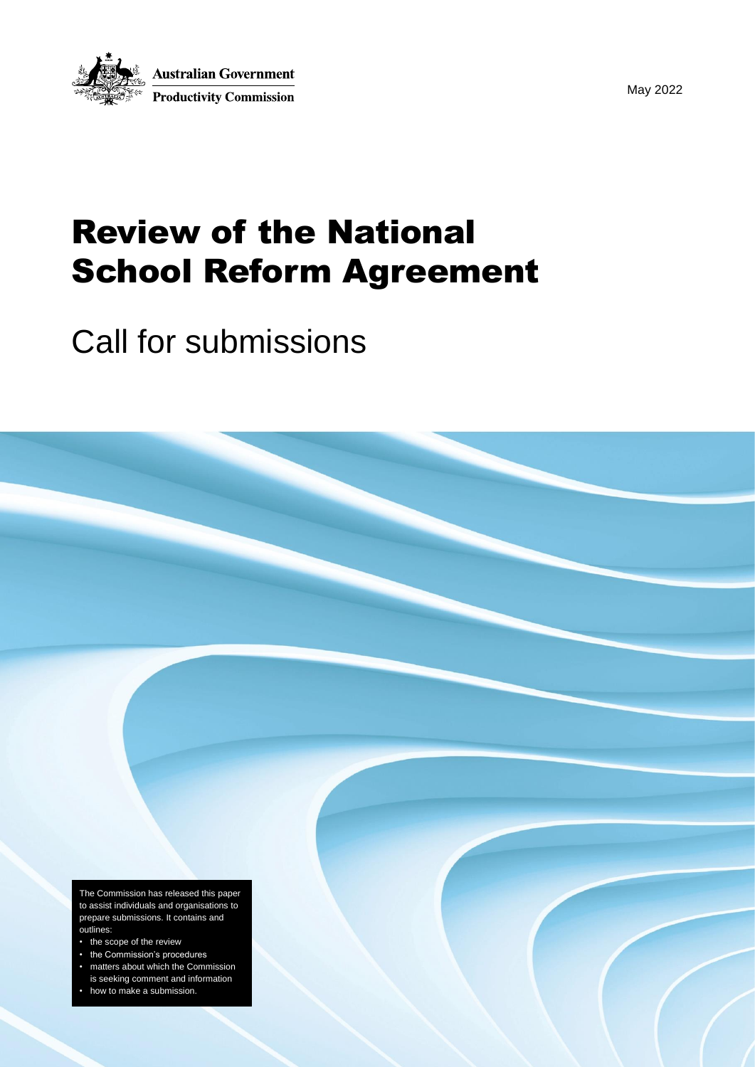

May 2022

# Review of the National School Reform Agreement

# Call for submissions

The Commission has released this paper to assist individuals and organisations to prepare submissions. It contains and outlines:

- the scope of the review
- the Commission's procedures
- matters about which the Commission
- is seeking comment and information
- how to make a submission.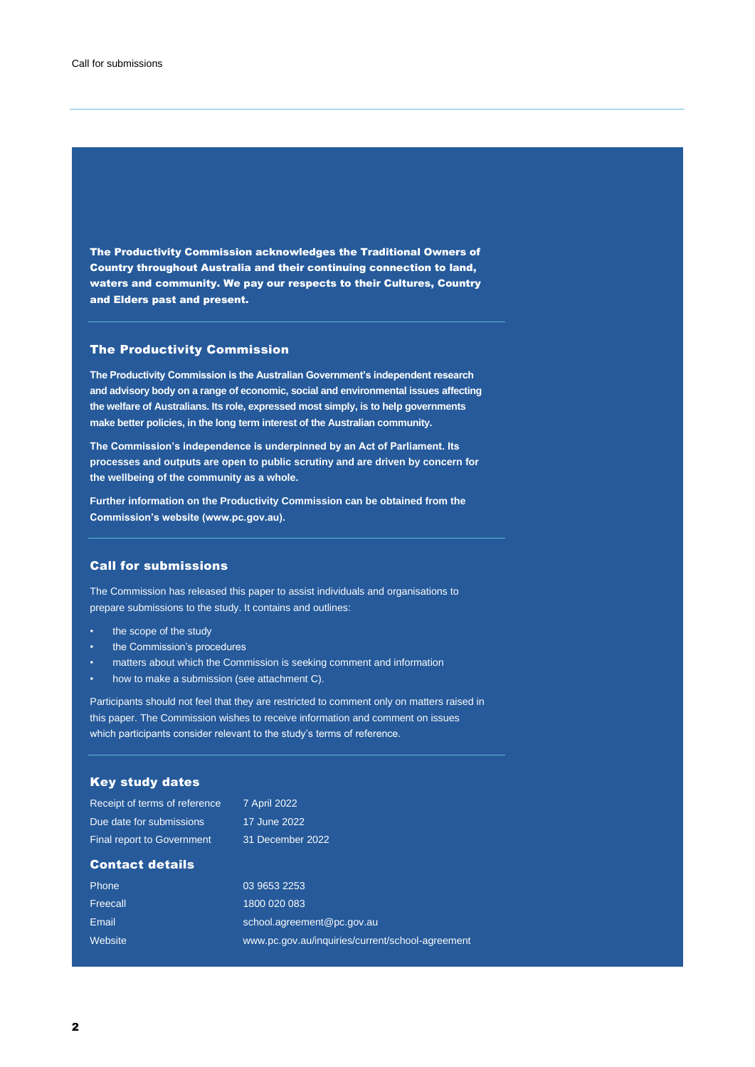The Productivity Commission acknowledges the Traditional Owners of Country throughout Australia and their continuing connection to land, waters and community. We pay our respects to their Cultures, Country and Elders past and present.

#### The Productivity Commission

**The Productivity Commission is the Australian Government's independent research and advisory body on a range of economic, social and environmental issues affecting the welfare of Australians. Its role, expressed most simply, is to help governments make better policies, in the long term interest of the Australian community.**

**The Commission's independence is underpinned by an Act of Parliament. Its processes and outputs are open to public scrutiny and are driven by concern for the wellbeing of the community as a whole.**

**Further information on the Productivity Commission can be obtained from the Commission's website (www.pc.gov.au).**

#### Call for submissions

The Commission has released this paper to assist individuals and organisations to prepare submissions to the study. It contains and outlines:

- the scope of the study
- the Commission's procedures
- matters about which the Commission is seeking comment and information
- how to make a submission (see attachment C).

Participants should not feel that they are restricted to comment only on matters raised in this paper. The Commission wishes to receive information and comment on issues which participants consider relevant to the study's terms of reference.

#### Key study dates

| Receipt of terms of reference     | <b>7 April 2022</b>                              |
|-----------------------------------|--------------------------------------------------|
| Due date for submissions          | 17 June 2022                                     |
| <b>Final report to Government</b> | 31 December 2022                                 |
| <b>Contact details</b>            |                                                  |
| Phone                             | 03 9653 2253                                     |
| Freecall                          | 1800 020 083                                     |
| Email                             | school.agreement@pc.gov.au                       |
| Website                           | www.pc.gov.au/inquiries/current/school-agreement |
|                                   |                                                  |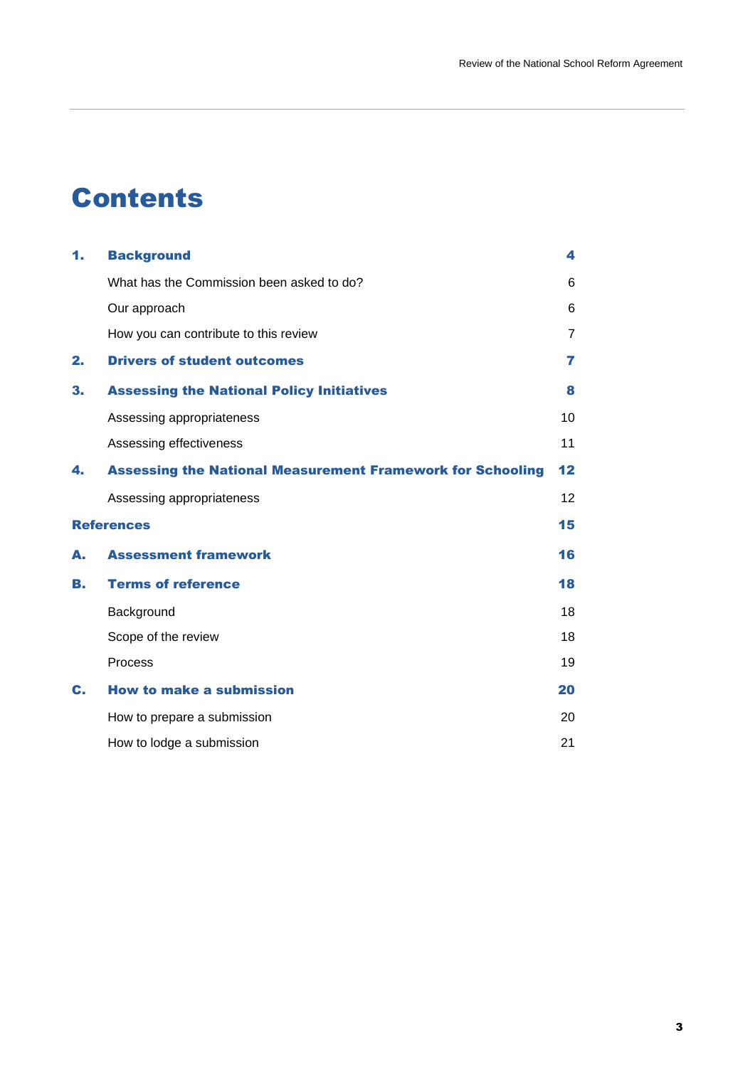# Contents

| 1. | <b>Background</b>                                                 | 4  |
|----|-------------------------------------------------------------------|----|
|    | What has the Commission been asked to do?                         | 6  |
|    | Our approach                                                      | 6  |
|    | How you can contribute to this review                             | 7  |
| 2. | <b>Drivers of student outcomes</b>                                | 7  |
| 3. | <b>Assessing the National Policy Initiatives</b>                  | 8  |
|    | Assessing appropriateness                                         | 10 |
|    | Assessing effectiveness                                           | 11 |
| 4. | <b>Assessing the National Measurement Framework for Schooling</b> | 12 |
|    | Assessing appropriateness                                         | 12 |
|    | <b>References</b>                                                 | 15 |
| А. | <b>Assessment framework</b>                                       | 16 |
| B. | <b>Terms of reference</b>                                         | 18 |
|    | Background                                                        | 18 |
|    | Scope of the review                                               | 18 |
|    | Process                                                           | 19 |
| C. | <b>How to make a submission</b>                                   | 20 |
|    | How to prepare a submission                                       | 20 |
|    | How to lodge a submission                                         | 21 |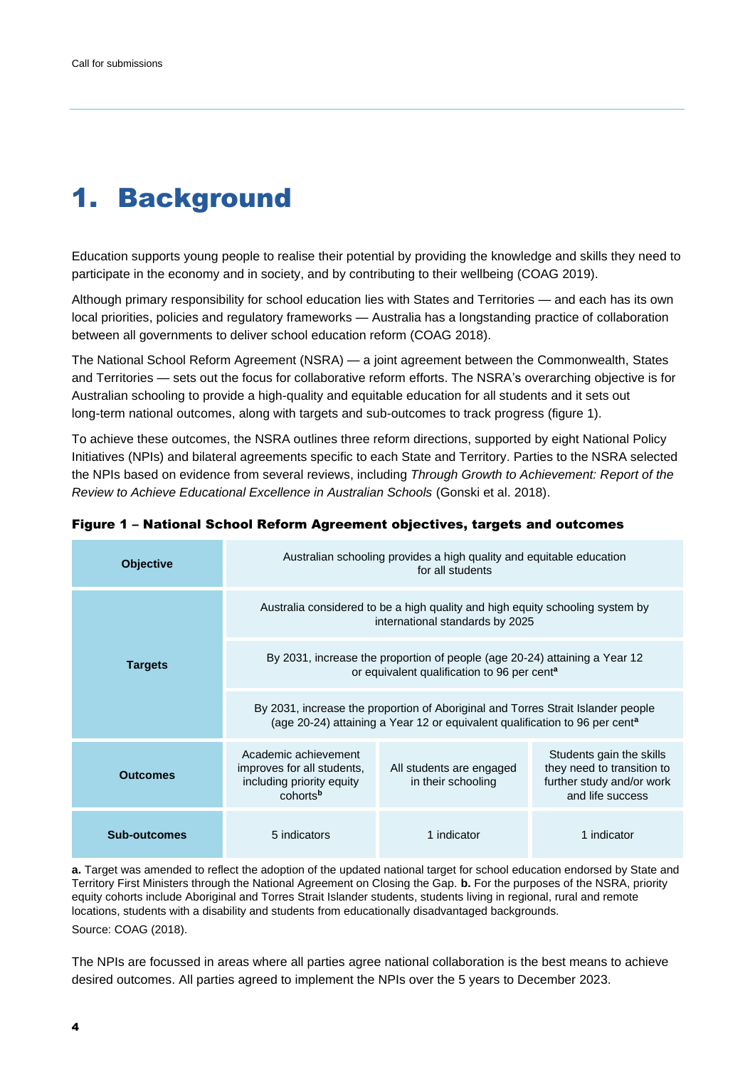# <span id="page-3-0"></span>1. Background

Education supports young people to realise their potential by providing the knowledge and skills they need to participate in the economy and in society, and by contributing to their wellbeing (COAG 2019).

Although primary responsibility for school education lies with States and Territories — and each has its own local priorities, policies and regulatory frameworks — Australia has a longstanding practice of collaboration between all governments to deliver school education reform (COAG 2018).

The National School Reform Agreement (NSRA) — a joint agreement between the Commonwealth, States and Territories — sets out the focus for collaborative reform efforts. The NSRA's overarching objective is for Australian schooling to provide a high-quality and equitable education for all students and it sets out long-term national outcomes, along with targets and sub-outcomes to track progress (figure 1).

To achieve these outcomes, the NSRA outlines three reform directions, supported by eight National Policy Initiatives (NPIs) and bilateral agreements specific to each State and Territory. Parties to the NSRA selected the NPIs based on evidence from several reviews, including *Through Growth to Achievement: Report of the Review to Achieve Educational Excellence in Australian Schools* (Gonski et al. 2018).

| <b>Objective</b> | Australian schooling provides a high quality and equitable education<br>for all students                                                                                    |                                                |                                                                                                         |
|------------------|-----------------------------------------------------------------------------------------------------------------------------------------------------------------------------|------------------------------------------------|---------------------------------------------------------------------------------------------------------|
| <b>Targets</b>   | Australia considered to be a high quality and high equity schooling system by<br>international standards by 2025                                                            |                                                |                                                                                                         |
|                  | By 2031, increase the proportion of people (age 20-24) attaining a Year 12<br>or equivalent qualification to 96 per cent <sup>a</sup>                                       |                                                |                                                                                                         |
|                  | By 2031, increase the proportion of Aboriginal and Torres Strait Islander people<br>(age 20-24) attaining a Year 12 or equivalent qualification to 96 per cent <sup>a</sup> |                                                |                                                                                                         |
| <b>Outcomes</b>  | Academic achievement<br>improves for all students,<br>including priority equity<br>cohorts <sup>b</sup>                                                                     | All students are engaged<br>in their schooling | Students gain the skills<br>they need to transition to<br>further study and/or work<br>and life success |
| Sub-outcomes     | 5 indicators                                                                                                                                                                | 1 indicator                                    | 1 indicator                                                                                             |

Figure 1 – National School Reform Agreement objectives, targets and outcomes

**a.** Target was amended to reflect the adoption of the updated national target for school education endorsed by State and Territory First Ministers through the National Agreement on Closing the Gap. **b.** For the purposes of the NSRA, priority equity cohorts include Aboriginal and Torres Strait Islander students, students living in regional, rural and remote locations, students with a disability and students from educationally disadvantaged backgrounds.

Source: COAG (2018).

The NPIs are focussed in areas where all parties agree national collaboration is the best means to achieve desired outcomes. All parties agreed to implement the NPIs over the 5 years to December 2023.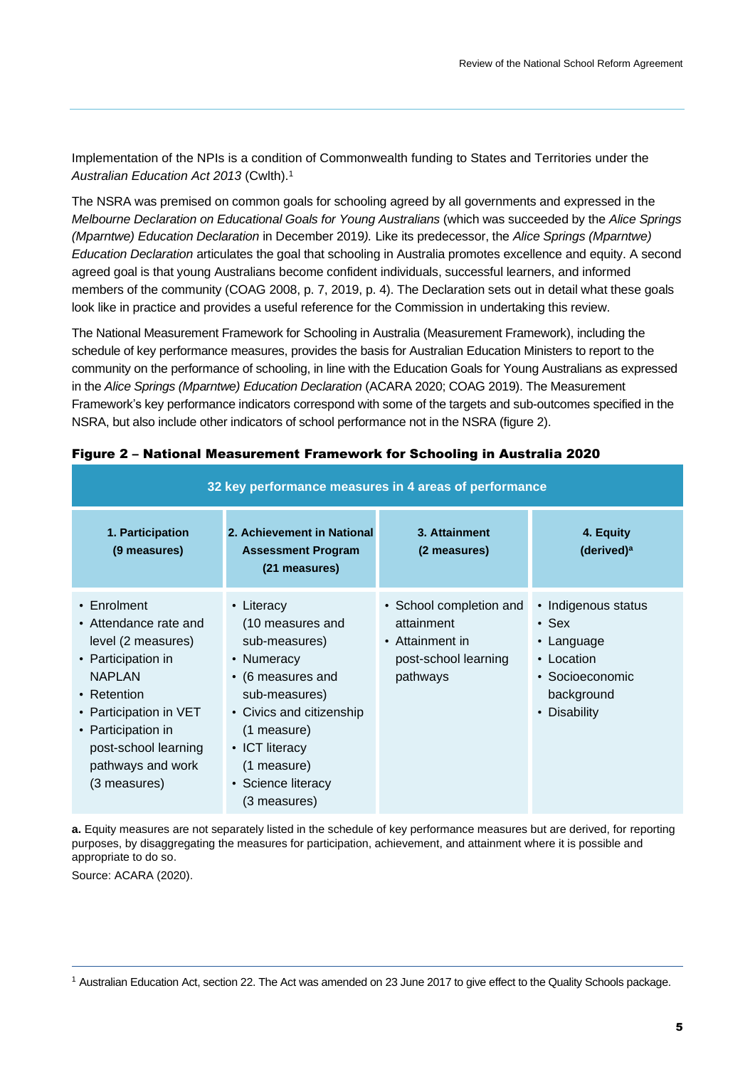Implementation of the NPIs is a condition of Commonwealth funding to States and Territories under the *Australian Education Act 2013* (Cwlth). 1

The NSRA was premised on common goals for schooling agreed by all governments and expressed in the *Melbourne Declaration on Educational Goals for Young Australians* (which was succeeded by the *Alice Springs (Mparntwe) Education Declaration* in December 2019*).* Like its predecessor, the *Alice Springs (Mparntwe) Education Declaration* articulates the goal that schooling in Australia promotes excellence and equity. A second agreed goal is that young Australians become confident individuals, successful learners, and informed members of the community (COAG 2008, p. 7, 2019, p. 4). The Declaration sets out in detail what these goals look like in practice and provides a useful reference for the Commission in undertaking this review.

The National Measurement Framework for Schooling in Australia (Measurement Framework), including the schedule of key performance measures, provides the basis for Australian Education Ministers to report to the community on the performance of schooling, in line with the Education Goals for Young Australians as expressed in the *Alice Springs (Mparntwe) Education Declaration* (ACARA 2020; COAG 2019). The Measurement Framework's key performance indicators correspond with some of the targets and sub-outcomes specified in the NSRA, but also include other indicators of school performance not in the NSRA (figure 2).

| 32 key performance measures in 4 areas of performance                                                                                                                                                                               |                                                                                                                                                                                                       |                                                                                              |                                                                                                                 |
|-------------------------------------------------------------------------------------------------------------------------------------------------------------------------------------------------------------------------------------|-------------------------------------------------------------------------------------------------------------------------------------------------------------------------------------------------------|----------------------------------------------------------------------------------------------|-----------------------------------------------------------------------------------------------------------------|
| 1. Participation<br>(9 measures)                                                                                                                                                                                                    | 2. Achievement in National<br><b>Assessment Program</b><br>(21 measures)                                                                                                                              | 3. Attainment<br>(2 measures)                                                                | 4. Equity<br>(derived) <sup>a</sup>                                                                             |
| $\cdot$ Enrolment<br>• Attendance rate and<br>level (2 measures)<br>• Participation in<br><b>NAPLAN</b><br>• Retention<br>• Participation in VET<br>• Participation in<br>post-school learning<br>pathways and work<br>(3 measures) | • Literacy<br>(10 measures and<br>sub-measures)<br>• Numeracy<br>• (6 measures and<br>sub-measures)<br>• Civics and citizenship<br>(1 measure)<br>• ICT literacy<br>(1 measure)<br>• Science literacy | • School completion and<br>attainment<br>• Attainment in<br>post-school learning<br>pathways | • Indigenous status<br>$\cdot$ Sex<br>• Language<br>• Location<br>• Socioeconomic<br>background<br>• Disability |

#### Figure 2 – National Measurement Framework for Schooling in Australia 2020

**a.** Equity measures are not separately listed in the schedule of key performance measures but are derived, for reporting purposes, by disaggregating the measures for participation, achievement, and attainment where it is possible and appropriate to do so.

Source: ACARA (2020).

<sup>1</sup> Australian Education Act, section 22. The Act was amended on 23 June 2017 to give effect to the Quality Schools package.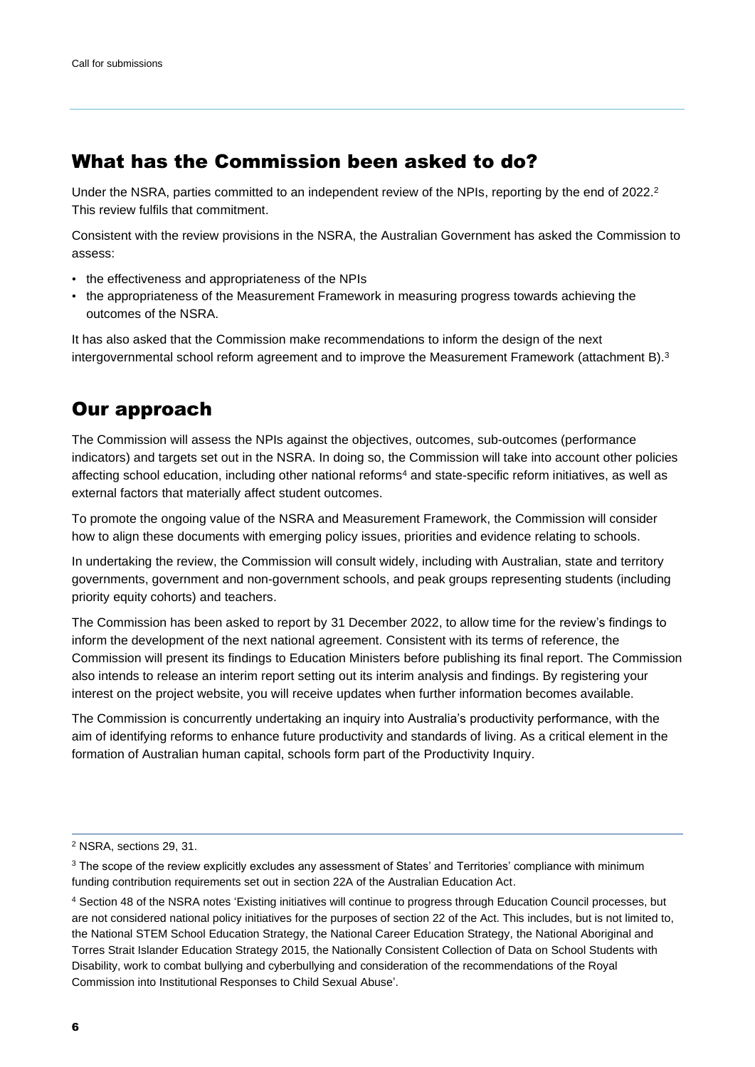## <span id="page-5-0"></span>What has the Commission been asked to do?

Under the NSRA, parties committed to an independent review of the NPIs, reporting by the end of 2022.<sup>2</sup> This review fulfils that commitment.

Consistent with the review provisions in the NSRA, the Australian Government has asked the Commission to assess:

- the effectiveness and appropriateness of the NPIs
- the appropriateness of the Measurement Framework in measuring progress towards achieving the outcomes of the NSRA.

It has also asked that the Commission make recommendations to inform the design of the next intergovernmental school reform agreement and to improve the Measurement Framework (attachment B). 3

## Our approach

The Commission will assess the NPIs against the objectives, outcomes, sub-outcomes (performance indicators) and targets set out in the NSRA. In doing so, the Commission will take into account other policies affecting school education, including other national reforms<sup>4</sup> and state-specific reform initiatives, as well as external factors that materially affect student outcomes.

To promote the ongoing value of the NSRA and Measurement Framework, the Commission will consider how to align these documents with emerging policy issues, priorities and evidence relating to schools.

In undertaking the review, the Commission will consult widely, including with Australian, state and territory governments, government and non-government schools, and peak groups representing students (including priority equity cohorts) and teachers.

The Commission has been asked to report by 31 December 2022, to allow time for the review's findings to inform the development of the next national agreement. Consistent with its terms of reference, the Commission will present its findings to Education Ministers before publishing its final report. The Commission also intends to release an interim report setting out its interim analysis and findings. By registering your interest on the project website, you will receive updates when further information becomes available.

The Commission is concurrently undertaking an inquiry into Australia's productivity performance, with the aim of identifying reforms to enhance future productivity and standards of living. As a critical element in the formation of Australian human capital, schools form part of the Productivity Inquiry.

<sup>2</sup> NSRA, sections 29, 31.

<sup>&</sup>lt;sup>3</sup> The scope of the review explicitly excludes any assessment of States' and Territories' compliance with minimum funding contribution requirements set out in section 22A of the Australian Education Act.

<sup>4</sup> Section 48 of the NSRA notes 'Existing initiatives will continue to progress through Education Council processes, but are not considered national policy initiatives for the purposes of section 22 of the Act. This includes, but is not limited to, the National STEM School Education Strategy, the National Career Education Strategy, the National Aboriginal and Torres Strait Islander Education Strategy 2015, the Nationally Consistent Collection of Data on School Students with Disability, work to combat bullying and cyberbullying and consideration of the recommendations of the Royal Commission into Institutional Responses to Child Sexual Abuse'.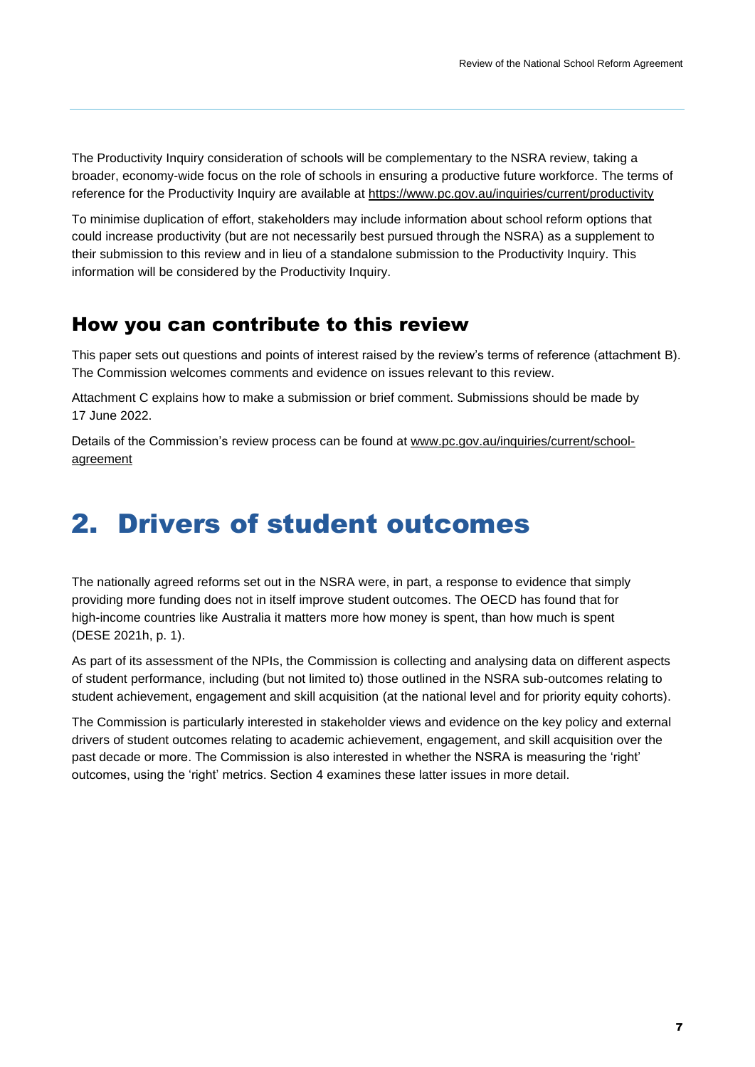<span id="page-6-0"></span>The Productivity Inquiry consideration of schools will be complementary to the NSRA review, taking a broader, economy-wide focus on the role of schools in ensuring a productive future workforce. The terms of reference for the Productivity Inquiry are available at <https://www.pc.gov.au/inquiries/current/productivity>

To minimise duplication of effort, stakeholders may include information about school reform options that could increase productivity (but are not necessarily best pursued through the NSRA) as a supplement to their submission to this review and in lieu of a standalone submission to the Productivity Inquiry. This information will be considered by the Productivity Inquiry.

## How you can contribute to this review

This paper sets out questions and points of interest raised by the review's terms of reference (attachment B). The Commission welcomes comments and evidence on issues relevant to this review.

Attachment C explains how to make a submission or brief comment. Submissions should be made by 17 June 2022.

Details of the Commission's review process can be found at [www.pc.gov.au/inquiries/current/school](http://www.pc.gov.au/inquiries/current/school-agreement)[agreement](http://www.pc.gov.au/inquiries/current/school-agreement)

# 2. Drivers of student outcomes

The nationally agreed reforms set out in the NSRA were, in part, a response to evidence that simply providing more funding does not in itself improve student outcomes. The OECD has found that for high-income countries like Australia it matters more how money is spent, than how much is spent (DESE 2021h, p. 1).

As part of its assessment of the NPIs, the Commission is collecting and analysing data on different aspects of student performance, including (but not limited to) those outlined in the NSRA sub-outcomes relating to student achievement, engagement and skill acquisition (at the national level and for priority equity cohorts).

The Commission is particularly interested in stakeholder views and evidence on the key policy and external drivers of student outcomes relating to academic achievement, engagement, and skill acquisition over the past decade or more. The Commission is also interested in whether the NSRA is measuring the 'right' outcomes, using the 'right' metrics. Section 4 examines these latter issues in more detail.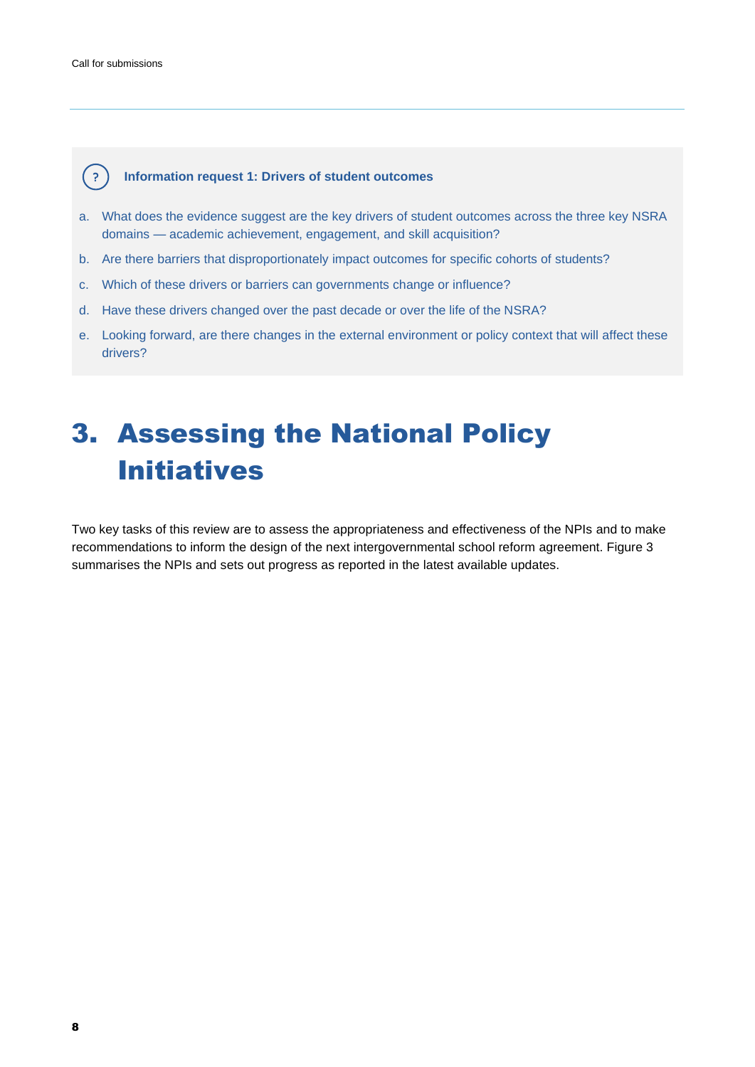<span id="page-7-0"></span>

#### **Information request 1: Drivers of student outcomes**

- a. What does the evidence suggest are the key drivers of student outcomes across the three key NSRA domains — academic achievement, engagement, and skill acquisition?
- b. Are there barriers that disproportionately impact outcomes for specific cohorts of students?
- c. Which of these drivers or barriers can governments change or influence?
- d. Have these drivers changed over the past decade or over the life of the NSRA?
- e. Looking forward, are there changes in the external environment or policy context that will affect these drivers?

# 3. Assessing the National Policy Initiatives

Two key tasks of this review are to assess the appropriateness and effectiveness of the NPIs and to make recommendations to inform the design of the next intergovernmental school reform agreement. Figure 3 summarises the NPIs and sets out progress as reported in the latest available updates.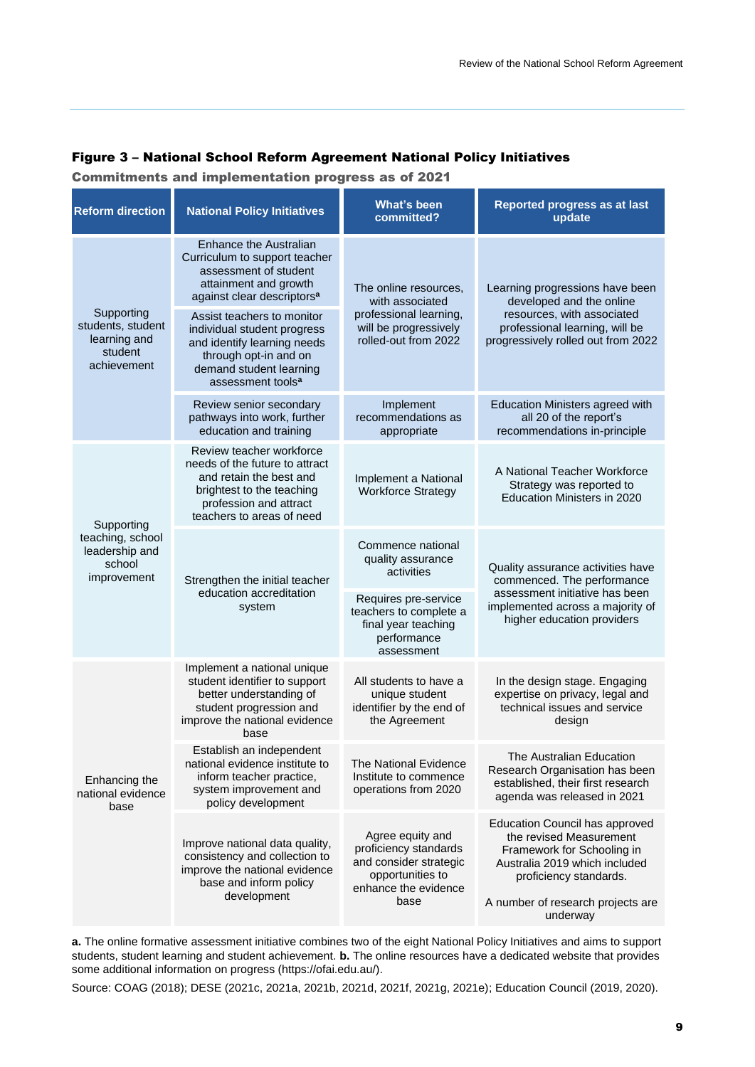#### Figure 3 – National School Reform Agreement National Policy Initiatives

Commitments and implementation progress as of 2021

| <b>National Policy Initiatives</b>                                                                                                                                                                                                                                                                                                   | <b>What's been</b><br>committed?                                                                                        | Reported progress as at last<br>update                                                                                                                                                                     |
|--------------------------------------------------------------------------------------------------------------------------------------------------------------------------------------------------------------------------------------------------------------------------------------------------------------------------------------|-------------------------------------------------------------------------------------------------------------------------|------------------------------------------------------------------------------------------------------------------------------------------------------------------------------------------------------------|
| Enhance the Australian<br>Curriculum to support teacher<br>assessment of student<br>attainment and growth<br>against clear descriptors <sup>a</sup><br>Assist teachers to monitor<br>individual student progress<br>and identify learning needs<br>through opt-in and on<br>demand student learning<br>assessment tools <sup>a</sup> | The online resources,<br>with associated<br>professional learning,<br>will be progressively<br>rolled-out from 2022     | Learning progressions have been<br>developed and the online<br>resources, with associated<br>professional learning, will be<br>progressively rolled out from 2022                                          |
| Review senior secondary<br>pathways into work, further<br>education and training                                                                                                                                                                                                                                                     | Implement<br>recommendations as<br>appropriate                                                                          | <b>Education Ministers agreed with</b><br>all 20 of the report's<br>recommendations in-principle                                                                                                           |
| Review teacher workforce<br>needs of the future to attract<br>and retain the best and<br>brightest to the teaching<br>profession and attract<br>teachers to areas of need                                                                                                                                                            | Implement a National<br><b>Workforce Strategy</b>                                                                       | A National Teacher Workforce<br>Strategy was reported to<br>Education Ministers in 2020                                                                                                                    |
| Strengthen the initial teacher<br>education accreditation<br>system                                                                                                                                                                                                                                                                  | Commence national<br>quality assurance<br>activities                                                                    | Quality assurance activities have<br>commenced. The performance<br>assessment initiative has been<br>implemented across a majority of<br>higher education providers                                        |
|                                                                                                                                                                                                                                                                                                                                      | Requires pre-service<br>teachers to complete a<br>final year teaching<br>performance<br>assessment                      |                                                                                                                                                                                                            |
| Implement a national unique<br>student identifier to support<br>better understanding of<br>student progression and<br>improve the national evidence<br>base                                                                                                                                                                          | All students to have a<br>unique student<br>identifier by the end of<br>the Agreement                                   | In the design stage. Engaging<br>expertise on privacy, legal and<br>technical issues and service<br>design                                                                                                 |
| Establish an independent<br>national evidence institute to<br>inform teacher practice,<br>system improvement and<br>policy development                                                                                                                                                                                               | <b>The National Evidence</b><br>Institute to commence<br>operations from 2020                                           | The Australian Education<br>Research Organisation has been<br>established, their first research<br>agenda was released in 2021                                                                             |
| Improve national data quality,<br>consistency and collection to<br>improve the national evidence<br>base and inform policy<br>development                                                                                                                                                                                            | Agree equity and<br>proficiency standards<br>and consider strategic<br>opportunities to<br>enhance the evidence<br>base | <b>Education Council has approved</b><br>the revised Measurement<br>Framework for Schooling in<br>Australia 2019 which included<br>proficiency standards.<br>A number of research projects are<br>underway |
|                                                                                                                                                                                                                                                                                                                                      |                                                                                                                         |                                                                                                                                                                                                            |

**a.** The online formative assessment initiative combines two of the eight National Policy Initiatives and aims to support students, student learning and student achievement. **b.** The online resources have a dedicated website that provides some additional information on progress (https://ofai.edu.au/).

Source: COAG (2018); DESE (2021c, 2021a, 2021b, 2021d, 2021f, 2021g, 2021e); Education Council (2019, 2020).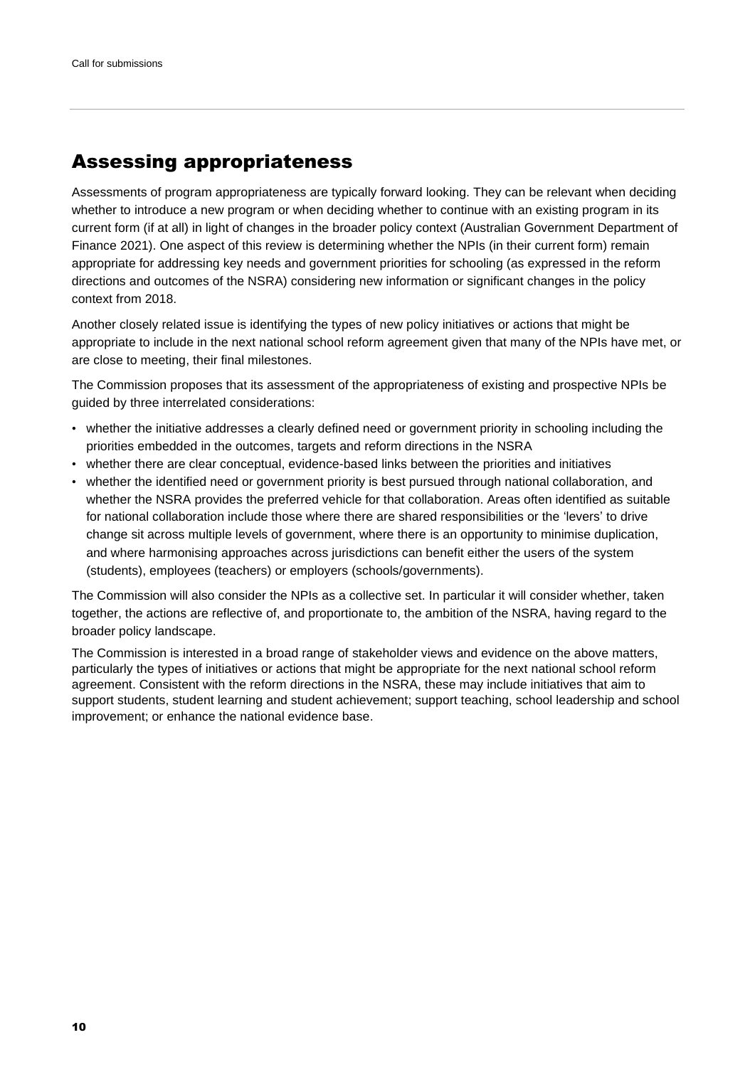## <span id="page-9-0"></span>Assessing appropriateness

Assessments of program appropriateness are typically forward looking. They can be relevant when deciding whether to introduce a new program or when deciding whether to continue with an existing program in its current form (if at all) in light of changes in the broader policy context (Australian Government Department of Finance 2021). One aspect of this review is determining whether the NPIs (in their current form) remain appropriate for addressing key needs and government priorities for schooling (as expressed in the reform directions and outcomes of the NSRA) considering new information or significant changes in the policy context from 2018.

Another closely related issue is identifying the types of new policy initiatives or actions that might be appropriate to include in the next national school reform agreement given that many of the NPIs have met, or are close to meeting, their final milestones.

The Commission proposes that its assessment of the appropriateness of existing and prospective NPIs be guided by three interrelated considerations:

- whether the initiative addresses a clearly defined need or government priority in schooling including the priorities embedded in the outcomes, targets and reform directions in the NSRA
- whether there are clear conceptual, evidence-based links between the priorities and initiatives
- whether the identified need or government priority is best pursued through national collaboration, and whether the NSRA provides the preferred vehicle for that collaboration. Areas often identified as suitable for national collaboration include those where there are shared responsibilities or the 'levers' to drive change sit across multiple levels of government, where there is an opportunity to minimise duplication, and where harmonising approaches across jurisdictions can benefit either the users of the system (students), employees (teachers) or employers (schools/governments).

The Commission will also consider the NPIs as a collective set. In particular it will consider whether, taken together, the actions are reflective of, and proportionate to, the ambition of the NSRA, having regard to the broader policy landscape.

The Commission is interested in a broad range of stakeholder views and evidence on the above matters, particularly the types of initiatives or actions that might be appropriate for the next national school reform agreement. Consistent with the reform directions in the NSRA, these may include initiatives that aim to support students, student learning and student achievement; support teaching, school leadership and school improvement; or enhance the national evidence base.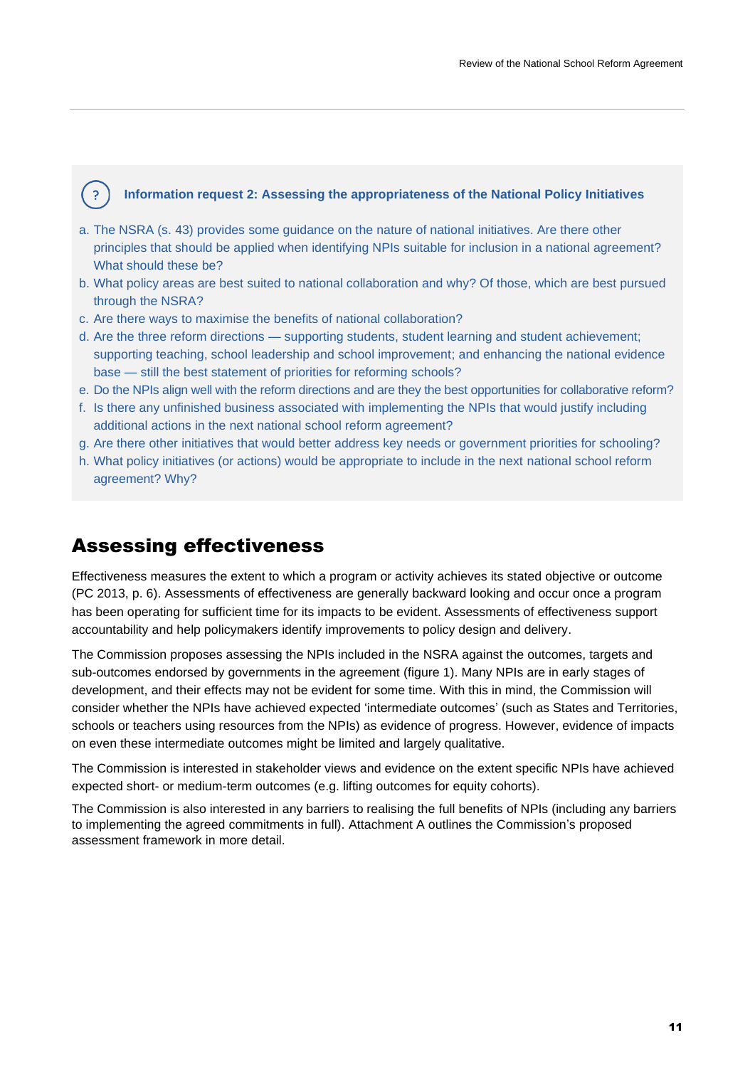#### **Information request 2: Assessing the appropriateness of the National Policy Initiatives**

- a. The NSRA (s. 43) provides some guidance on the nature of national initiatives. Are there other principles that should be applied when identifying NPIs suitable for inclusion in a national agreement? What should these be?
- b. What policy areas are best suited to national collaboration and why? Of those, which are best pursued through the NSRA?
- c. Are there ways to maximise the benefits of national collaboration?
- d. Are the three reform directions supporting students, student learning and student achievement; supporting teaching, school leadership and school improvement; and enhancing the national evidence base — still the best statement of priorities for reforming schools?
- e. Do the NPIs align well with the reform directions and are they the best opportunities for collaborative reform?
- f. Is there any unfinished business associated with implementing the NPIs that would justify including additional actions in the next national school reform agreement?
- g. Are there other initiatives that would better address key needs or government priorities for schooling?
- h. What policy initiatives (or actions) would be appropriate to include in the next national school reform agreement? Why?

## Assessing effectiveness

<span id="page-10-0"></span> $\overline{?}$ 

Effectiveness measures the extent to which a program or activity achieves its stated objective or outcome (PC 2013, p. 6). Assessments of effectiveness are generally backward looking and occur once a program has been operating for sufficient time for its impacts to be evident. Assessments of effectiveness support accountability and help policymakers identify improvements to policy design and delivery.

The Commission proposes assessing the NPIs included in the NSRA against the outcomes, targets and sub-outcomes endorsed by governments in the agreement (figure 1). Many NPIs are in early stages of development, and their effects may not be evident for some time. With this in mind, the Commission will consider whether the NPIs have achieved expected 'intermediate outcomes' (such as States and Territories, schools or teachers using resources from the NPIs) as evidence of progress. However, evidence of impacts on even these intermediate outcomes might be limited and largely qualitative.

The Commission is interested in stakeholder views and evidence on the extent specific NPIs have achieved expected short- or medium-term outcomes (e.g. lifting outcomes for equity cohorts).

The Commission is also interested in any barriers to realising the full benefits of NPIs (including any barriers to implementing the agreed commitments in full). Attachment A outlines the Commission's proposed assessment framework in more detail.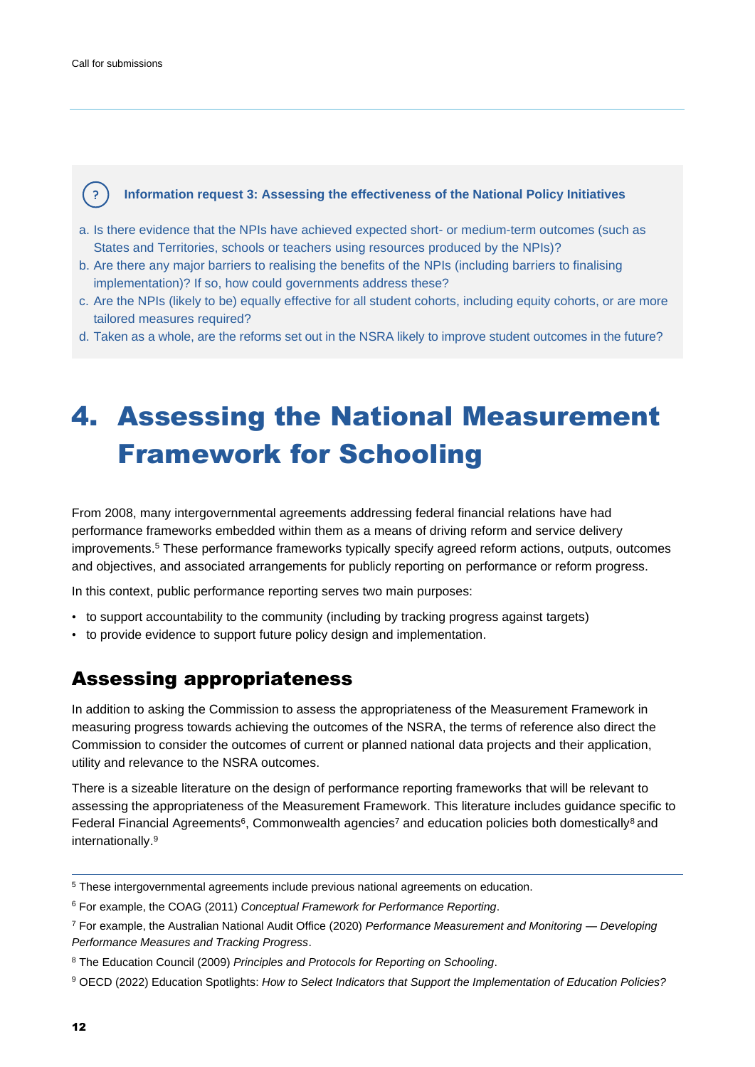<span id="page-11-0"></span>( ? )

#### **Information request 3: Assessing the effectiveness of the National Policy Initiatives**

- a. Is there evidence that the NPIs have achieved expected short- or medium-term outcomes (such as States and Territories, schools or teachers using resources produced by the NPIs)?
- b. Are there any major barriers to realising the benefits of the NPIs (including barriers to finalising implementation)? If so, how could governments address these?
- c. Are the NPIs (likely to be) equally effective for all student cohorts, including equity cohorts, or are more tailored measures required?
- d. Taken as a whole, are the reforms set out in the NSRA likely to improve student outcomes in the future?

# 4. Assessing the National Measurement Framework for Schooling

From 2008, many intergovernmental agreements addressing federal financial relations have had performance frameworks embedded within them as a means of driving reform and service delivery improvements.<sup>5</sup> These performance frameworks typically specify agreed reform actions, outputs, outcomes and objectives, and associated arrangements for publicly reporting on performance or reform progress.

In this context, public performance reporting serves two main purposes:

- to support accountability to the community (including by tracking progress against targets)
- to provide evidence to support future policy design and implementation.

## Assessing appropriateness

In addition to asking the Commission to assess the appropriateness of the Measurement Framework in measuring progress towards achieving the outcomes of the NSRA, the terms of reference also direct the Commission to consider the outcomes of current or planned national data projects and their application, utility and relevance to the NSRA outcomes.

There is a sizeable literature on the design of performance reporting frameworks that will be relevant to assessing the appropriateness of the Measurement Framework. This literature includes guidance specific to Federal Financial Agreements<sup>6</sup>, Commonwealth agencies<sup>7</sup> and education policies both domestically<sup>8</sup> and internationally. 9

<sup>5</sup> These intergovernmental agreements include previous national agreements on education.

<sup>6</sup> For example, the COAG (2011) *[Conceptual Framework for Performance Reporting](https://federalfinancialrelations.gov.au/sites/federalfinancialrelations.gov.au/files/2021-07/conceptual_framework_performance_reporting_feb_11.pdf)*.

<sup>7</sup> For example, the Australian National Audit Office (2020) *Performance Measurement and Monitoring — Developing Performance Measures and Tracking Progress*.

<sup>8</sup> The Education Council (2009) *[Principles and Protocols for Reporting on Schooling](https://acara.edu.au/docs/default-source/corporate-publications/principles-and-protocols-for-reporting-on-schooling-in-australia.pdf?sfvrsn=57674d07_0)*.

<sup>9</sup> OECD (2022) Education Spotlights: *How to Select Indicators that Support the Implementation of Education Policies?*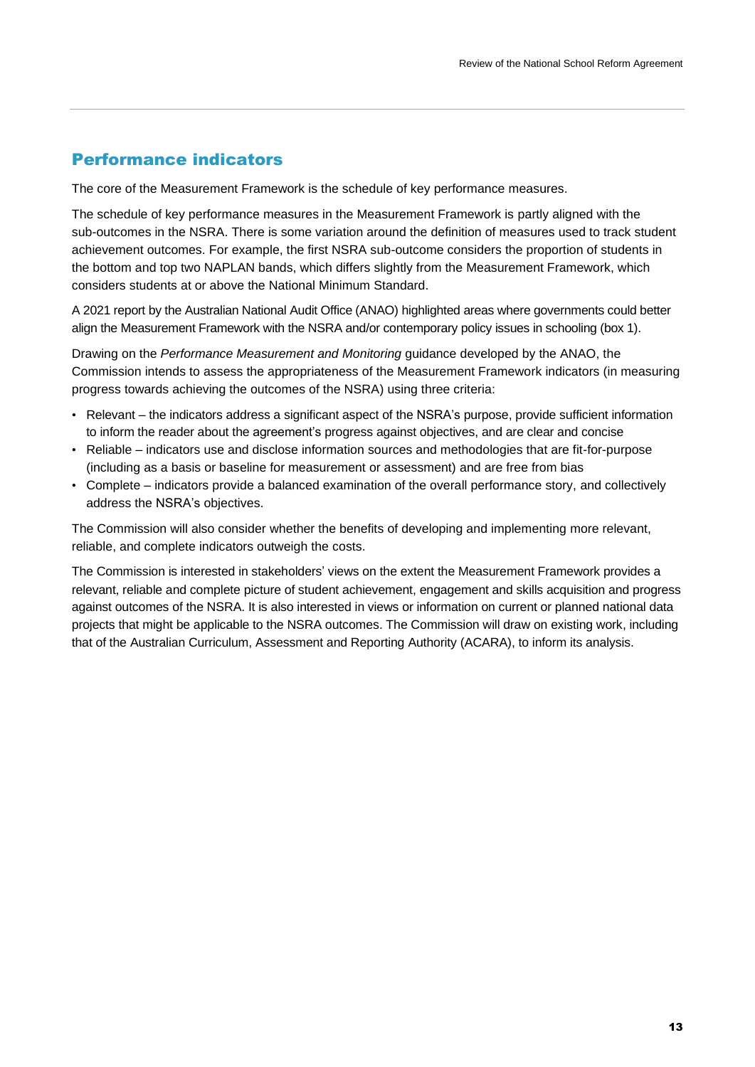## Performance indicators

The core of the Measurement Framework is the schedule of key performance measures.

The schedule of key performance measures in the Measurement Framework is partly aligned with the sub-outcomes in the NSRA. There is some variation around the definition of measures used to track student achievement outcomes. For example, the first NSRA sub-outcome considers the proportion of students in the bottom and top two NAPLAN bands, which differs slightly from the Measurement Framework, which considers students at or above the National Minimum Standard.

A 2021 report by the Australian National Audit Office (ANAO) highlighted areas where governments could better align the Measurement Framework with the NSRA and/or contemporary policy issues in schooling (box 1).

Drawing on the *Performance Measurement and Monitoring* guidance developed by the ANAO, the Commission intends to assess the appropriateness of the Measurement Framework indicators (in measuring progress towards achieving the outcomes of the NSRA) using three criteria:

- Relevant the indicators address a significant aspect of the NSRA's purpose, provide sufficient information to inform the reader about the agreement's progress against objectives, and are clear and concise
- Reliable indicators use and disclose information sources and methodologies that are fit-for-purpose (including as a basis or baseline for measurement or assessment) and are free from bias
- Complete indicators provide a balanced examination of the overall performance story, and collectively address the NSRA's objectives.

The Commission will also consider whether the benefits of developing and implementing more relevant, reliable, and complete indicators outweigh the costs.

The Commission is interested in stakeholders' views on the extent the Measurement Framework provides a relevant, reliable and complete picture of student achievement, engagement and skills acquisition and progress against outcomes of the NSRA. It is also interested in views or information on current or planned national data projects that might be applicable to the NSRA outcomes. The Commission will draw on existing work, including that of the Australian Curriculum, Assessment and Reporting Authority (ACARA), to inform its analysis.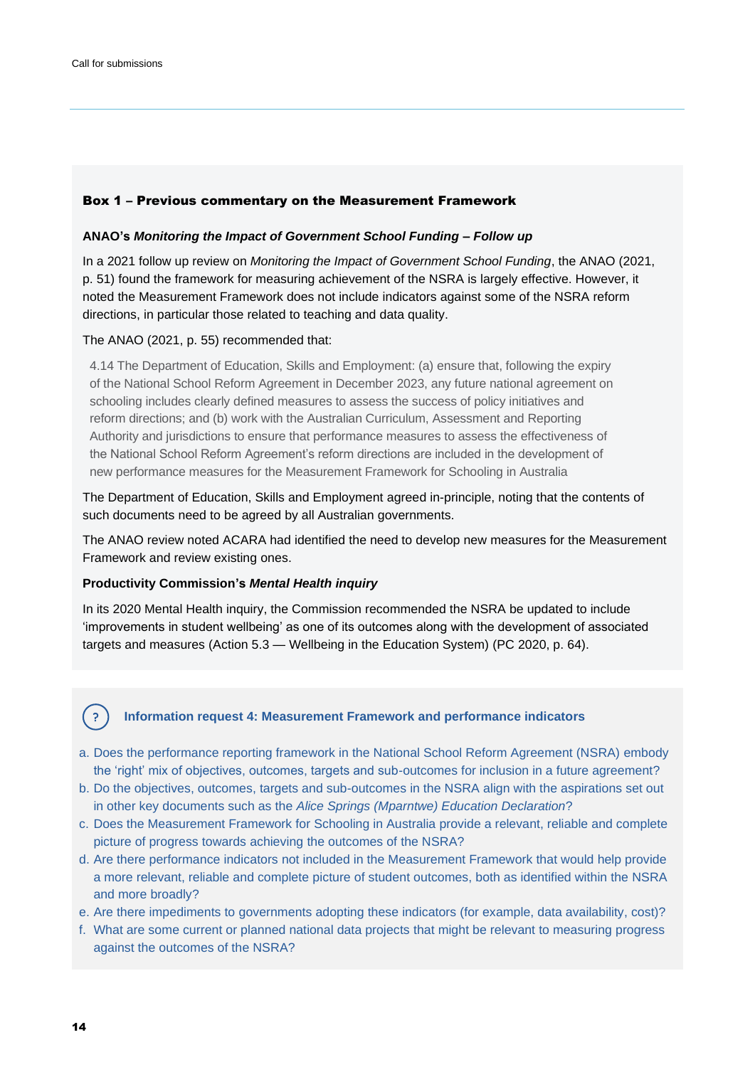#### Box 1 – Previous commentary on the Measurement Framework

#### **ANAO's** *Monitoring the Impact of Government School Funding – Follow up*

In a 2021 follow up review on *Monitoring the Impact of Government School Funding*, the ANAO (2021, p. 51) found the framework for measuring achievement of the NSRA is largely effective. However, it noted the Measurement Framework does not include indicators against some of the NSRA reform directions, in particular those related to teaching and data quality.

The ANAO (2021, p. 55) recommended that:

4.14 The Department of Education, Skills and Employment: (a) ensure that, following the expiry of the National School Reform Agreement in December 2023, any future national agreement on schooling includes clearly defined measures to assess the success of policy initiatives and reform directions; and (b) work with the Australian Curriculum, Assessment and Reporting Authority and jurisdictions to ensure that performance measures to assess the effectiveness of the National School Reform Agreement's reform directions are included in the development of new performance measures for the Measurement Framework for Schooling in Australia

The Department of Education, Skills and Employment agreed in-principle, noting that the contents of such documents need to be agreed by all Australian governments.

The ANAO review noted ACARA had identified the need to develop new measures for the Measurement Framework and review existing ones.

#### **Productivity Commission's** *Mental Health inquiry*

In its 2020 Mental Health inquiry, the Commission recommended the NSRA be updated to include 'improvements in student wellbeing' as one of its outcomes along with the development of associated targets and measures (Action 5.3 — Wellbeing in the Education System) (PC 2020, p. 64).

# ( ?

#### **Information request 4: Measurement Framework and performance indicators**

- a. Does the performance reporting framework in the National School Reform Agreement (NSRA) embody the 'right' mix of objectives, outcomes, targets and sub-outcomes for inclusion in a future agreement?
- b. Do the objectives, outcomes, targets and sub-outcomes in the NSRA align with the aspirations set out in other key documents such as the *Alice Springs (Mparntwe) Education Declaration*?
- c. Does the Measurement Framework for Schooling in Australia provide a relevant, reliable and complete picture of progress towards achieving the outcomes of the NSRA?
- d. Are there performance indicators not included in the Measurement Framework that would help provide a more relevant, reliable and complete picture of student outcomes, both as identified within the NSRA and more broadly?
- e. Are there impediments to governments adopting these indicators (for example, data availability, cost)?
- f. What are some current or planned national data projects that might be relevant to measuring progress against the outcomes of the NSRA?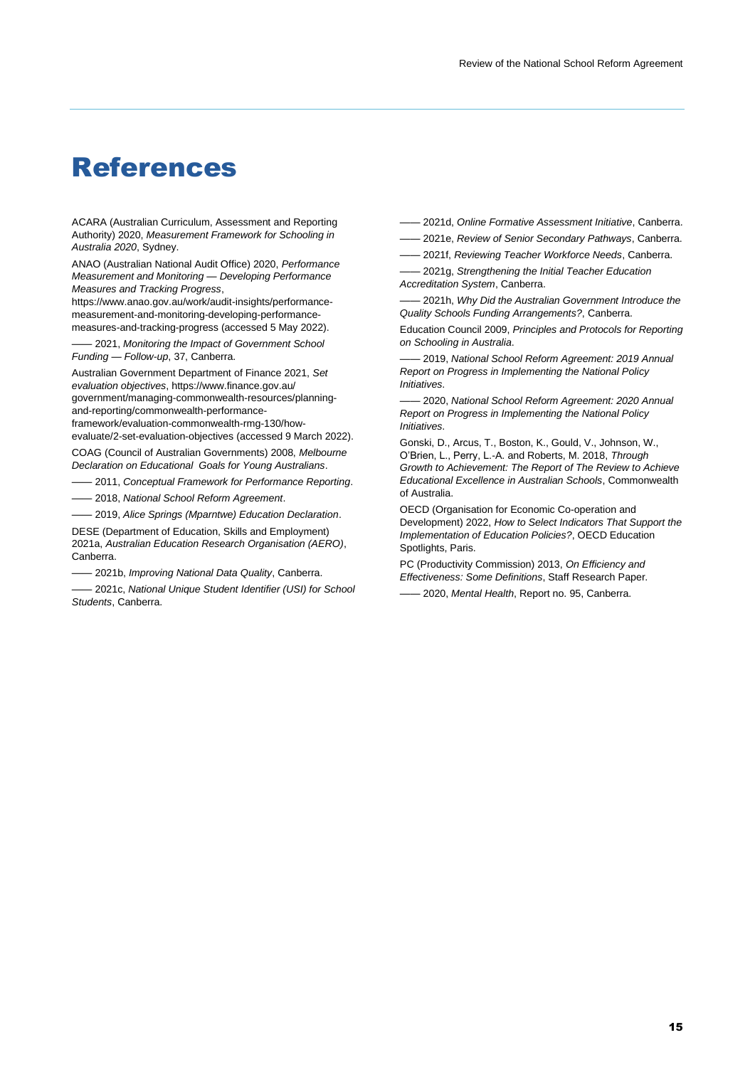## <span id="page-14-0"></span>References

ACARA (Australian Curriculum, Assessment and Reporting Authority) 2020, *Measurement Framework for Schooling in Australia 2020*, Sydney.

ANAO (Australian National Audit Office) 2020, *Performance Measurement and Monitoring — Developing Performance Measures and Tracking Progress*,

https://www.anao.gov.au/work/audit-insights/performancemeasurement-and-monitoring-developing-performancemeasures-and-tracking-progress (accessed 5 May 2022).

—— 2021, *Monitoring the Impact of Government School Funding — Follow-up*, 37, Canberra.

Australian Government Department of Finance 2021, *Set evaluation objectives*, https://www.finance.gov.au/ government/managing-commonwealth-resources/planningand-reporting/commonwealth-performanceframework/evaluation-commonwealth-rmg-130/how-

evaluate/2-set-evaluation-objectives (accessed 9 March 2022). COAG (Council of Australian Governments) 2008, *Melbourne* 

*Declaration on Educational Goals for Young Australians*.

—— 2011, *Conceptual Framework for Performance Reporting*. —— 2018, *National School Reform Agreement*.

—— 2019, *Alice Springs (Mparntwe) Education Declaration*.

DESE (Department of Education, Skills and Employment) 2021a, *Australian Education Research Organisation (AERO)*, Canberra.

—— 2021b, *Improving National Data Quality*, Canberra.

—— 2021c, *National Unique Student Identifier (USI) for School Students*, Canberra.

—— 2021d, *Online Formative Assessment Initiative*, Canberra.

—— 2021e, *Review of Senior Secondary Pathways*, Canberra.

—— 2021f, *Reviewing Teacher Workforce Needs*, Canberra.

—— 2021g, *Strengthening the Initial Teacher Education Accreditation System*, Canberra.

—— 2021h, *Why Did the Australian Government Introduce the Quality Schools Funding Arrangements?*, Canberra.

Education Council 2009, *Principles and Protocols for Reporting on Schooling in Australia*.

—— 2019, *National School Reform Agreement: 2019 Annual Report on Progress in Implementing the National Policy Initiatives*.

—— 2020, *National School Reform Agreement: 2020 Annual Report on Progress in Implementing the National Policy Initiatives*.

Gonski, D., Arcus, T., Boston, K., Gould, V., Johnson, W., O'Brien, L., Perry, L.-A. and Roberts, M. 2018, *Through Growth to Achievement: The Report of The Review to Achieve Educational Excellence in Australian Schools*, Commonwealth of Australia.

OECD (Organisation for Economic Co-operation and Development) 2022, *How to Select Indicators That Support the Implementation of Education Policies?*, OECD Education Spotlights, Paris.

PC (Productivity Commission) 2013, *On Efficiency and Effectiveness: Some Definitions*, Staff Research Paper.

—— 2020, *Mental Health*, Report no. 95, Canberra.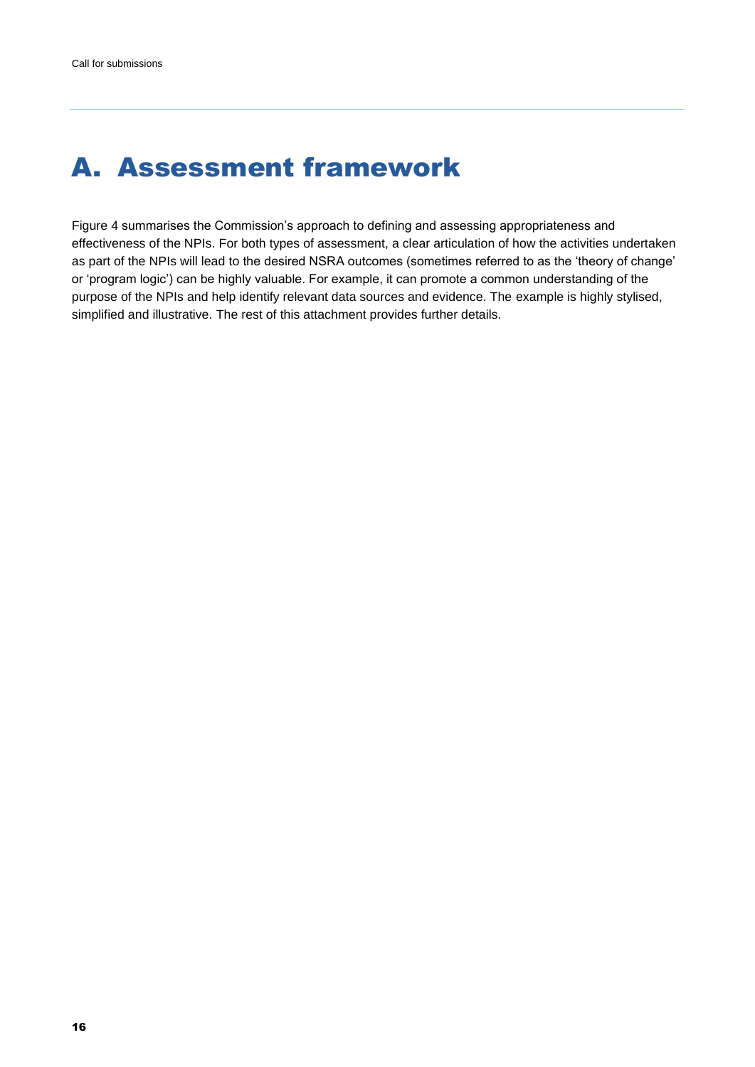# <span id="page-15-0"></span>A. Assessment framework

Figure 4 summarises the Commission's approach to defining and assessing appropriateness and effectiveness of the NPIs. For both types of assessment, a clear articulation of how the activities undertaken as part of the NPIs will lead to the desired NSRA outcomes (sometimes referred to as the 'theory of change' or 'program logic') can be highly valuable. For example, it can promote a common understanding of the purpose of the NPIs and help identify relevant data sources and evidence. The example is highly stylised, simplified and illustrative. The rest of this attachment provides further details.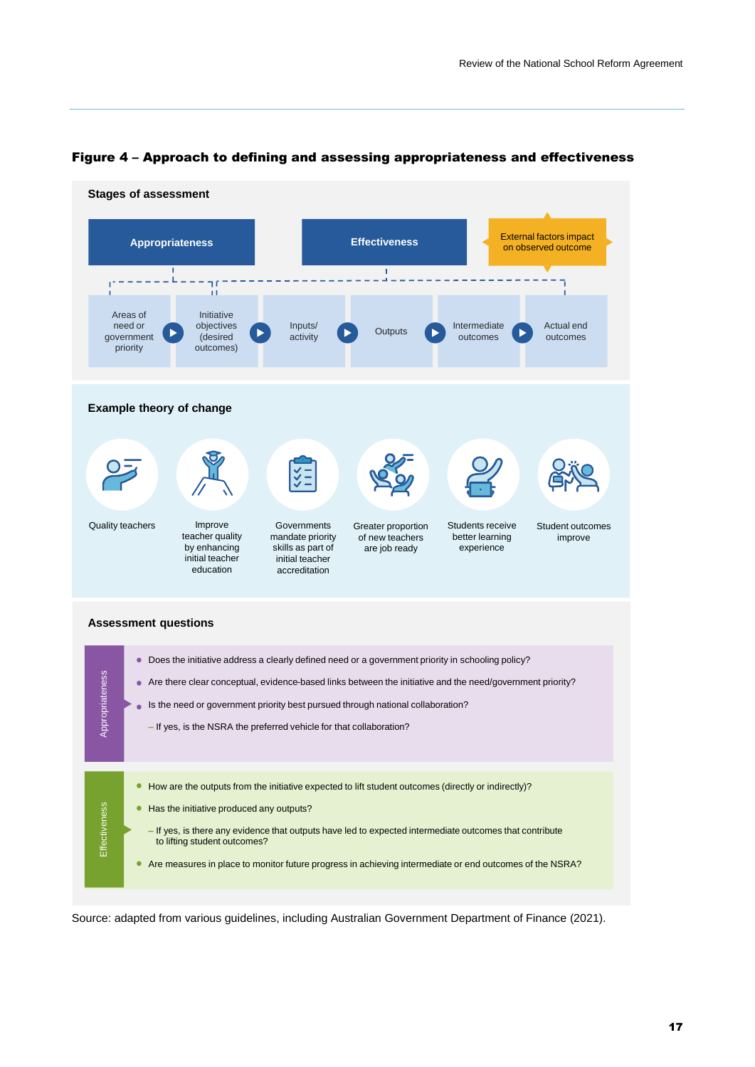

#### Figure 4 – Approach to defining and assessing appropriateness and effectiveness

Source: adapted from various guidelines, including Australian Government Department of Finance (2021).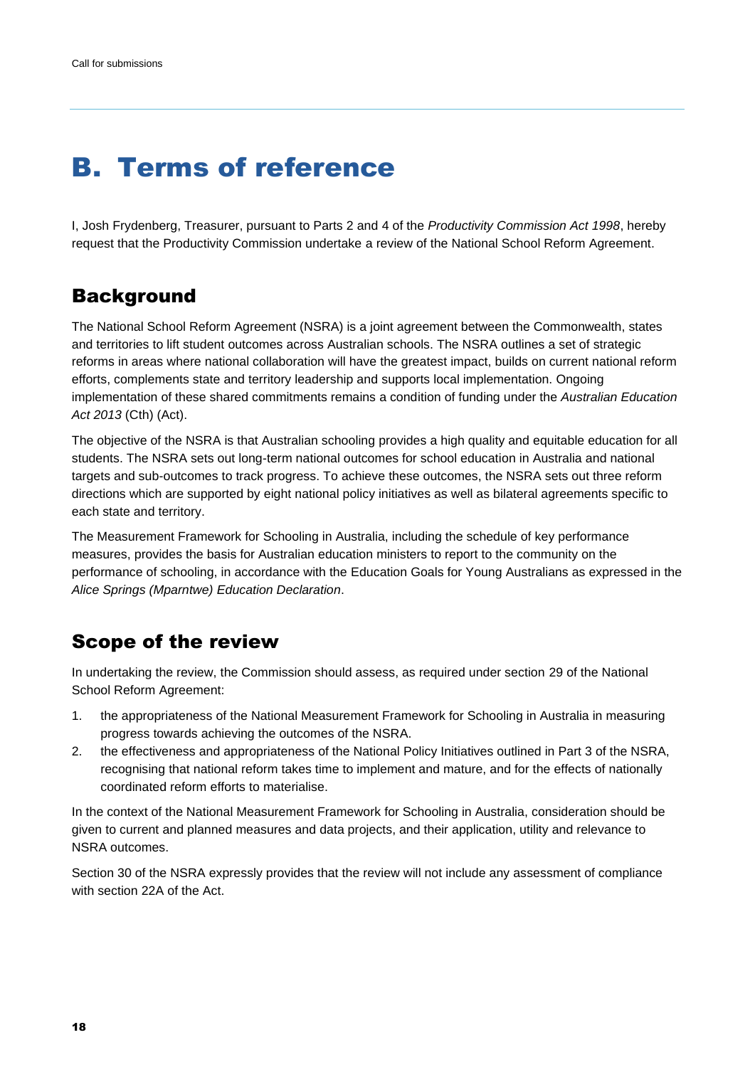# <span id="page-17-0"></span>B. Terms of reference

I, Josh Frydenberg, Treasurer, pursuant to Parts 2 and 4 of the *Productivity Commission Act 1998*, hereby request that the Productivity Commission undertake a review of the National School Reform Agreement.

## **Background**

The National School Reform Agreement (NSRA) is a joint agreement between the Commonwealth, states and territories to lift student outcomes across Australian schools. The NSRA outlines a set of strategic reforms in areas where national collaboration will have the greatest impact, builds on current national reform efforts, complements state and territory leadership and supports local implementation. Ongoing implementation of these shared commitments remains a condition of funding under the *Australian Education Act 2013* (Cth) (Act).

The objective of the NSRA is that Australian schooling provides a high quality and equitable education for all students. The NSRA sets out long-term national outcomes for school education in Australia and national targets and sub-outcomes to track progress. To achieve these outcomes, the NSRA sets out three reform directions which are supported by eight national policy initiatives as well as bilateral agreements specific to each state and territory.

The Measurement Framework for Schooling in Australia, including the schedule of key performance measures, provides the basis for Australian education ministers to report to the community on the performance of schooling, in accordance with the Education Goals for Young Australians as expressed in the *Alice Springs (Mparntwe) Education Declaration*.

## Scope of the review

In undertaking the review, the Commission should assess, as required under section 29 of the National School Reform Agreement:

- 1. the appropriateness of the National Measurement Framework for Schooling in Australia in measuring progress towards achieving the outcomes of the NSRA.
- 2. the effectiveness and appropriateness of the National Policy Initiatives outlined in Part 3 of the NSRA, recognising that national reform takes time to implement and mature, and for the effects of nationally coordinated reform efforts to materialise.

In the context of the National Measurement Framework for Schooling in Australia, consideration should be given to current and planned measures and data projects, and their application, utility and relevance to NSRA outcomes.

Section 30 of the NSRA expressly provides that the review will not include any assessment of compliance with section 22A of the Act.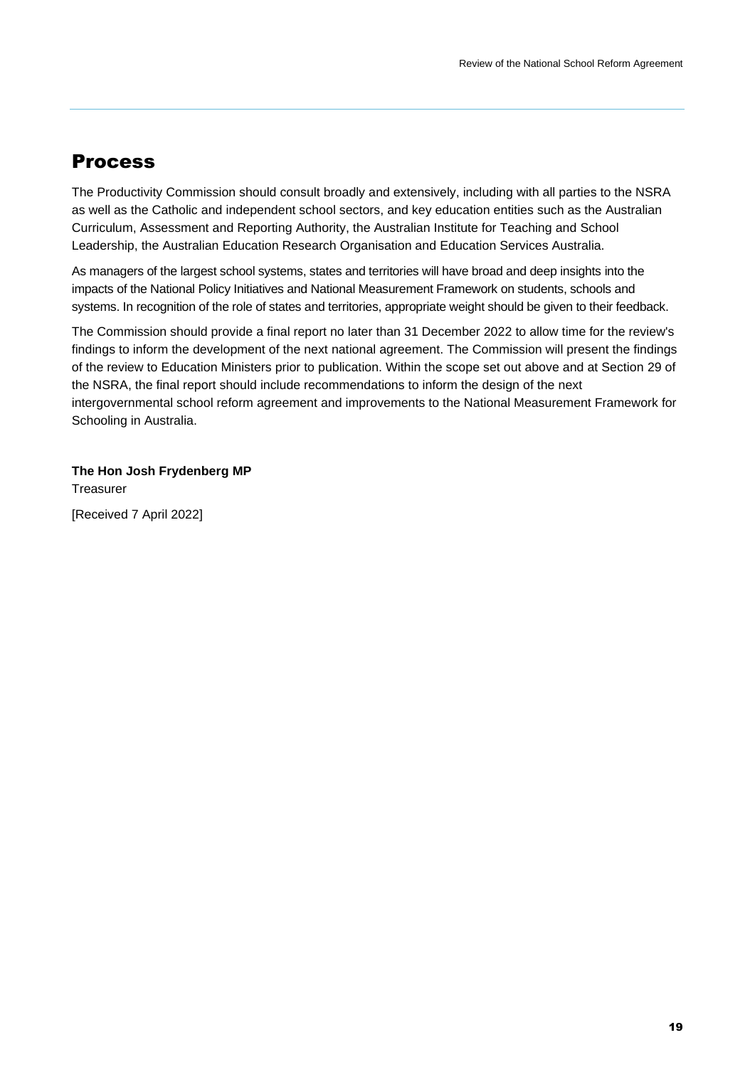## <span id="page-18-0"></span>Process

The Productivity Commission should consult broadly and extensively, including with all parties to the NSRA as well as the Catholic and independent school sectors, and key education entities such as the Australian Curriculum, Assessment and Reporting Authority, the Australian Institute for Teaching and School Leadership, the Australian Education Research Organisation and Education Services Australia.

As managers of the largest school systems, states and territories will have broad and deep insights into the impacts of the National Policy Initiatives and National Measurement Framework on students, schools and systems. In recognition of the role of states and territories, appropriate weight should be given to their feedback.

The Commission should provide a final report no later than 31 December 2022 to allow time for the review's findings to inform the development of the next national agreement. The Commission will present the findings of the review to Education Ministers prior to publication. Within the scope set out above and at Section 29 of the NSRA, the final report should include recommendations to inform the design of the next intergovernmental school reform agreement and improvements to the National Measurement Framework for Schooling in Australia.

**The Hon Josh Frydenberg MP** Treasurer

[Received 7 April 2022]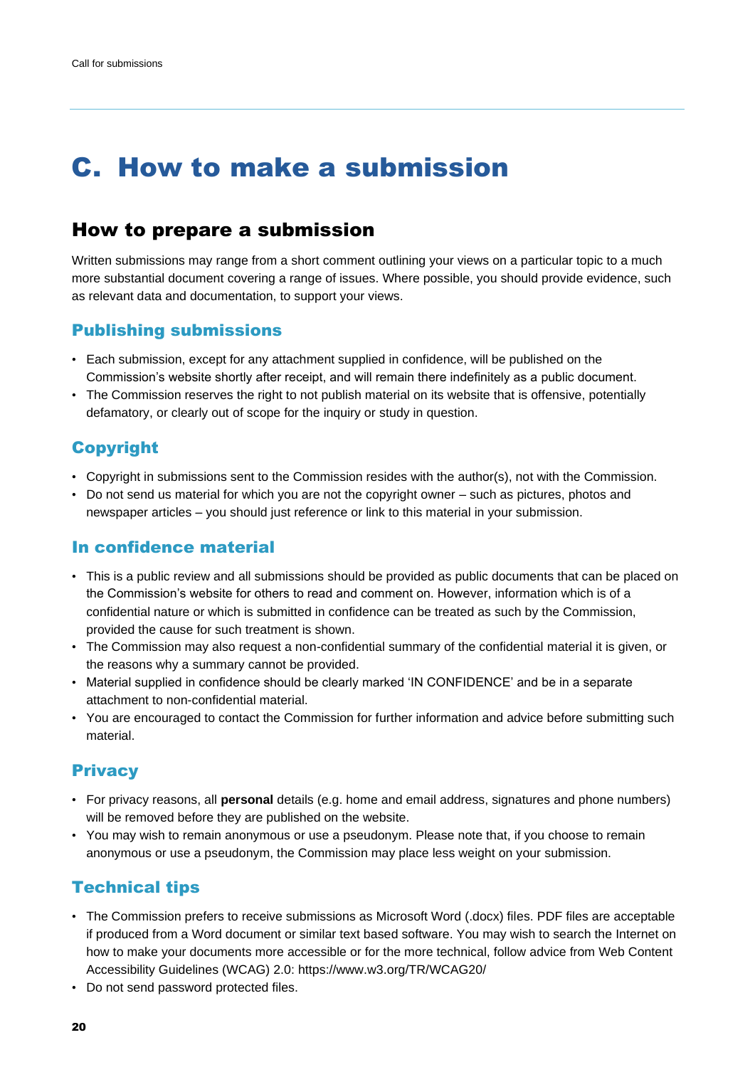## <span id="page-19-0"></span>C. How to make a submission

## How to prepare a submission

Written submissions may range from a short comment outlining your views on a particular topic to a much more substantial document covering a range of issues. Where possible, you should provide evidence, such as relevant data and documentation, to support your views.

### Publishing submissions

- Each submission, except for any attachment supplied in confidence, will be published on the Commission's website shortly after receipt, and will remain there indefinitely as a public document.
- The Commission reserves the right to not publish material on its website that is offensive, potentially defamatory, or clearly out of scope for the inquiry or study in question.

## Copyright

- Copyright in submissions sent to the Commission resides with the author(s), not with the Commission.
- Do not send us material for which you are not the copyright owner such as pictures, photos and newspaper articles – you should just reference or link to this material in your submission.

### In confidence material

- This is a public review and all submissions should be provided as public documents that can be placed on the Commission's website for others to read and comment on. However, information which is of a confidential nature or which is submitted in confidence can be treated as such by the Commission, provided the cause for such treatment is shown.
- The Commission may also request a non-confidential summary of the confidential material it is given, or the reasons why a summary cannot be provided.
- Material supplied in confidence should be clearly marked 'IN CONFIDENCE' and be in a separate attachment to non-confidential material.
- You are encouraged to contact the Commission for further information and advice before submitting such material.

## **Privacy**

- For privacy reasons, all **personal** details (e.g. home and email address, signatures and phone numbers) will be removed before they are published on the website.
- You may wish to remain anonymous or use a pseudonym. Please note that, if you choose to remain anonymous or use a pseudonym, the Commission may place less weight on your submission.

## Technical tips

- The Commission prefers to receive submissions as Microsoft Word (.docx) files. PDF files are acceptable if produced from a Word document or similar text based software. You may wish to search the Internet on how to make your documents more accessible or for the more technical, follow advice from Web Content Accessibility Guidelines (WCAG) 2.0: https://www.w3.org/TR/WCAG20/
- Do not send password protected files.